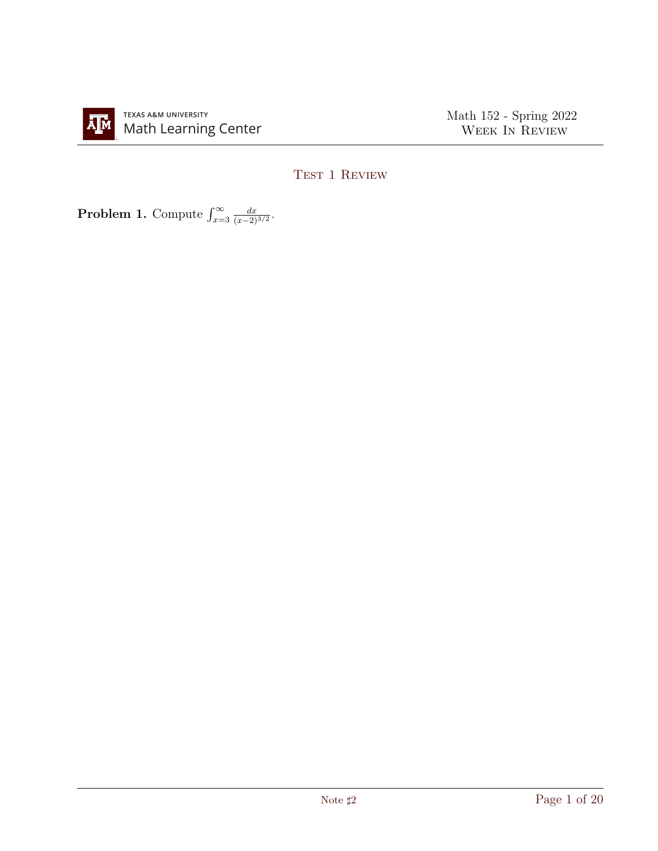

Math 152 - Spring 2022 WEEK IN REVIEW

## TEST 1 REVIEW

**Problem 1.** Compute  $\int_{x=3}^{\infty}$  $dx$  $\frac{dx}{(x-2)^{3/2}}$ .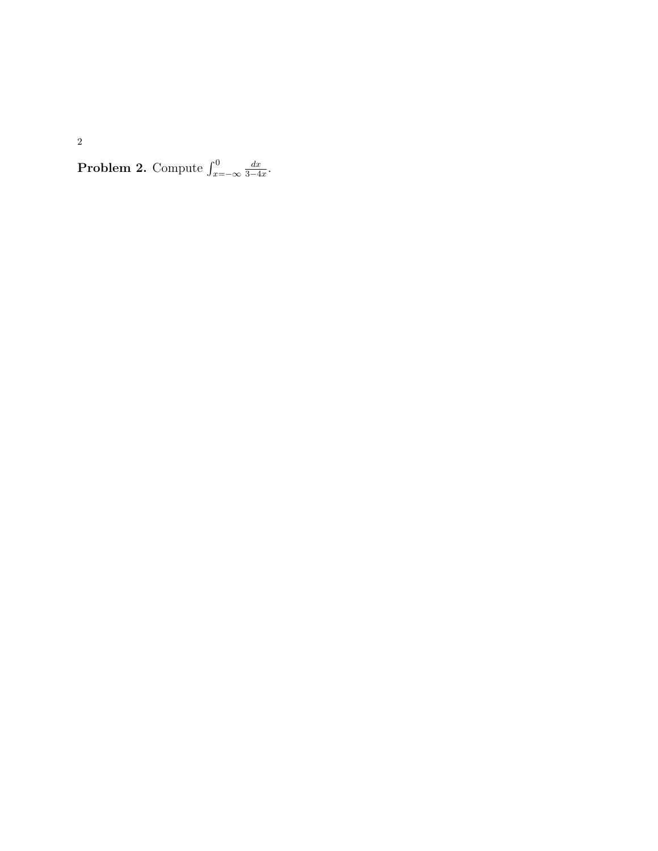**Problem 2.** Compute  $\int_{x=-\infty}^{0}$  $\frac{dx}{3-4x}$ .

 $dx$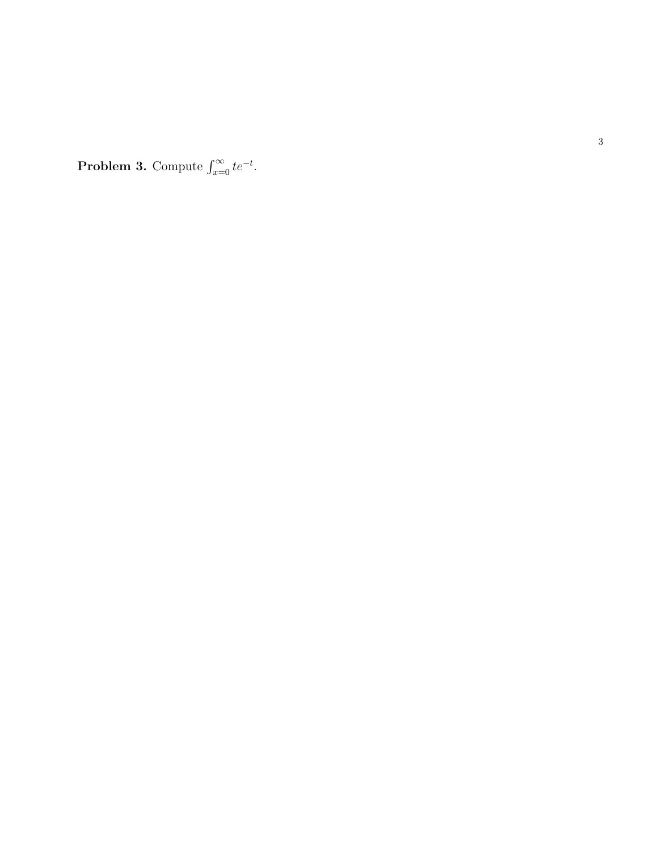**Problem 3.** Compute  $\int_{x=0}^{\infty} te^{-t}$ .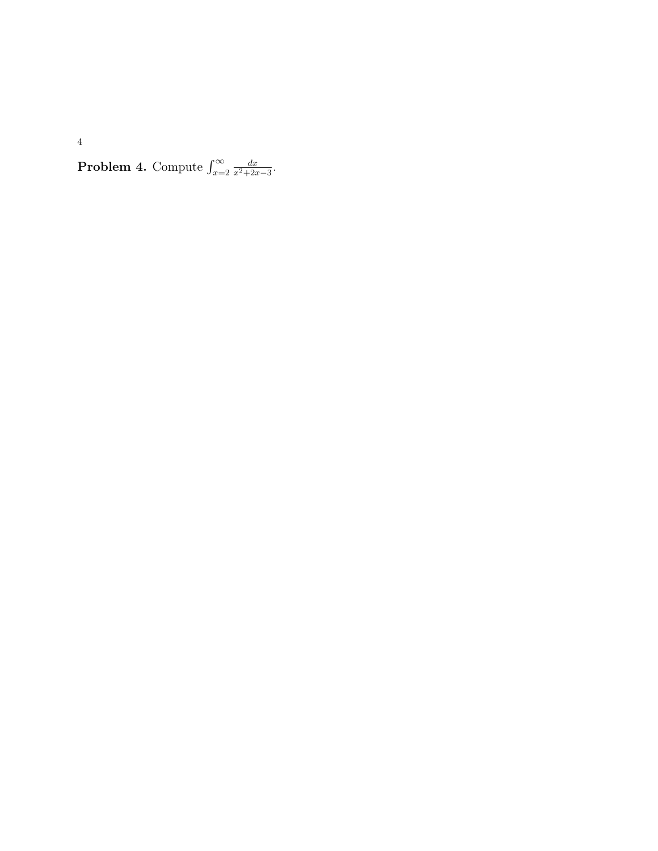**Problem 4.** Compute  $\int_{x=2}^{\infty}$  $dx$  $\frac{dx}{x^2+2x-3}$ .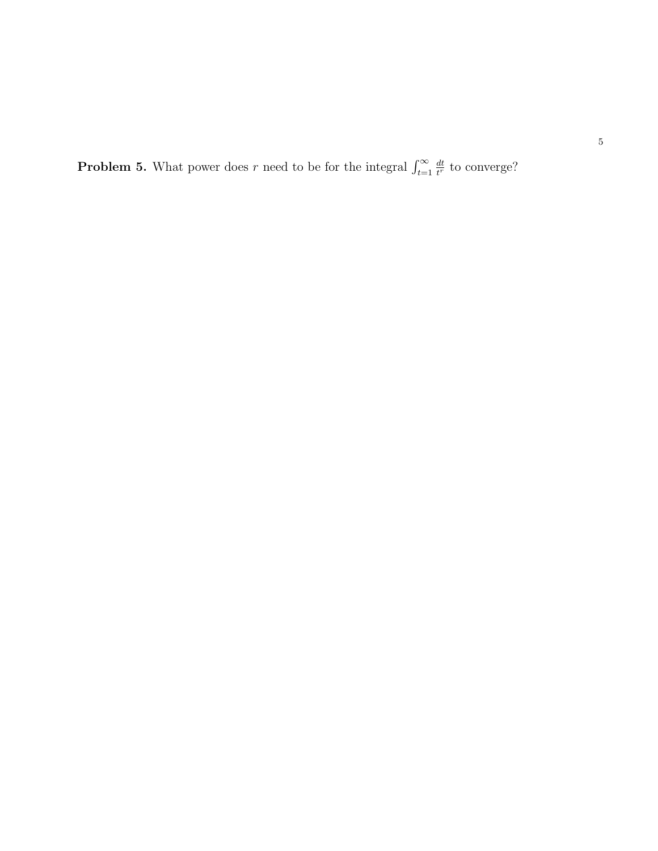**Problem 5.** What power does r need to be for the integral  $\int_{t=1}^{\infty}$ dt  $\frac{dt}{t^r}$  to converge?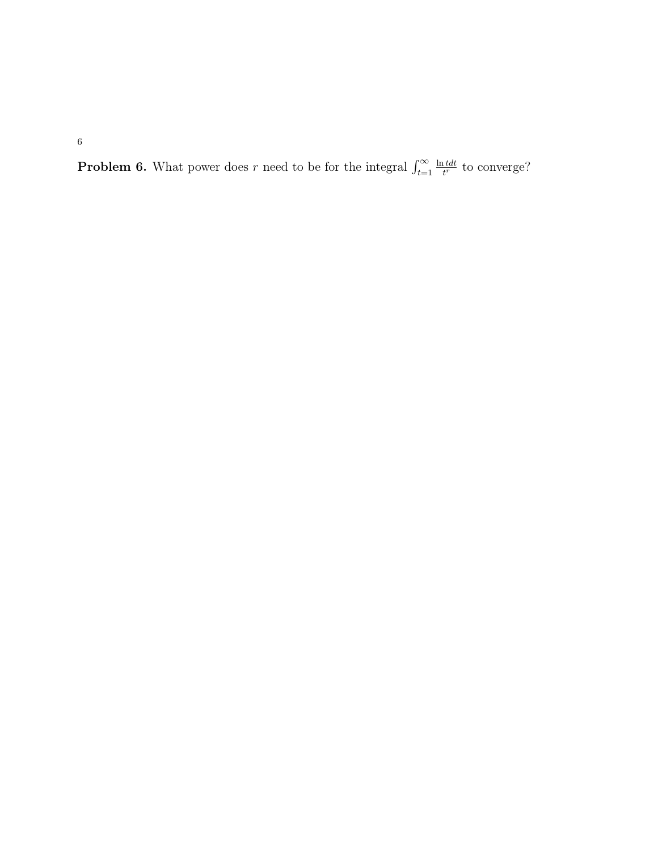**Problem 6.** What power does r need to be for the integral  $\int_{t=1}^{\infty}$  $\ln t dt$  $t^{\text{tdt}}$  to converge?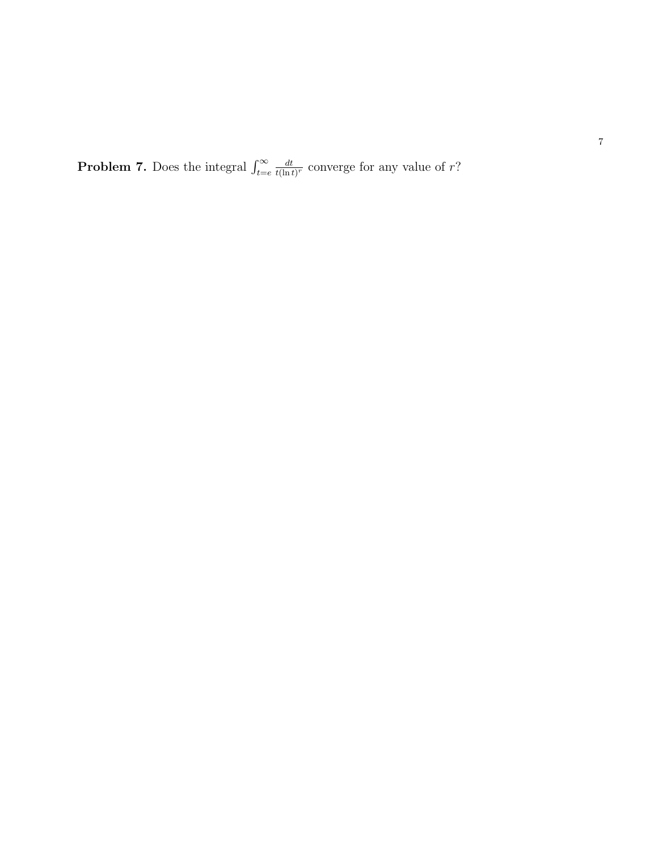**Problem 7.** Does the integral  $\int_{t=e}^{\infty}$ dt  $\frac{dt}{t(\ln t)^r}$  converge for any value of r?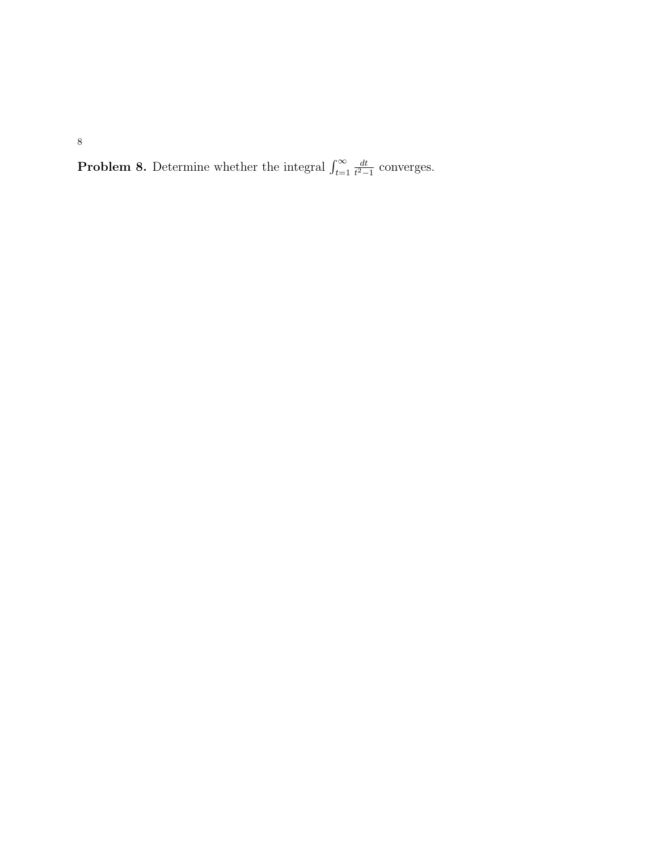**Problem 8.** Determine whether the integral  $\int_{t=1}^{\infty}$ dt  $\frac{dt}{t^2-1}$  converges.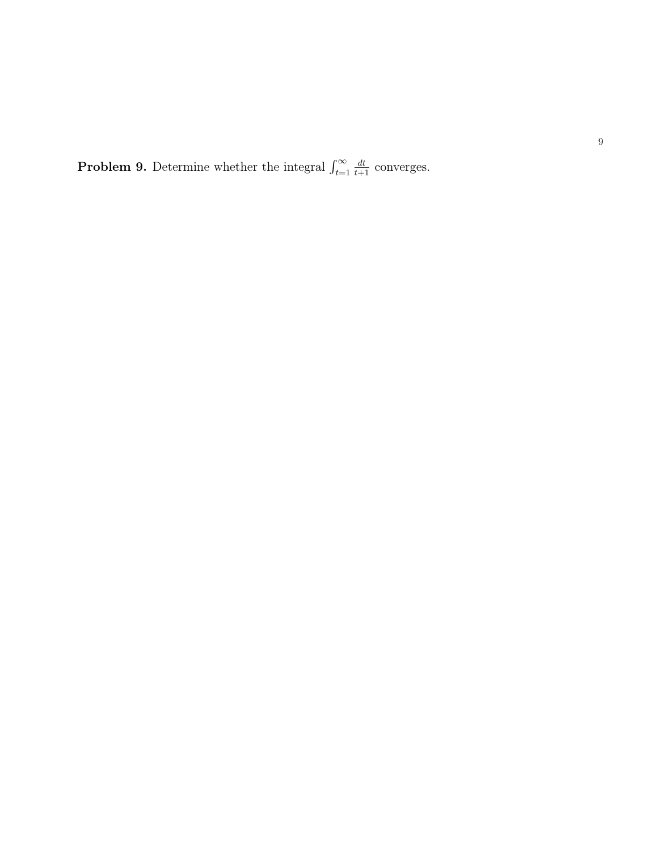**Problem 9.** Determine whether the integral  $\int_{t-1}^{\infty}$  $t=1$  $\frac{dt}{t+1}$  converges.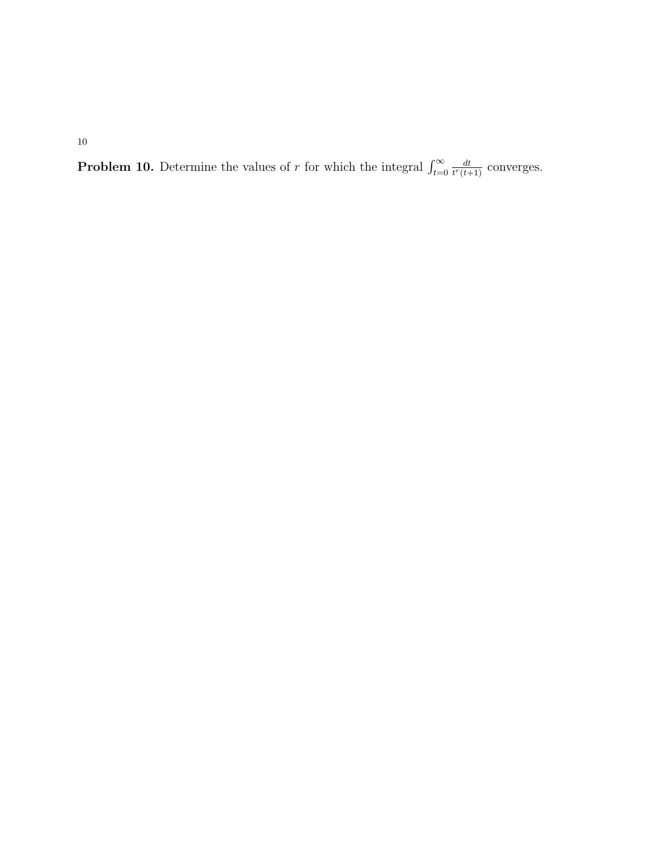**Problem 10.** Determine the values of r for which the integral  $\int_{t=0}^{\infty}$ dt  $\frac{dt}{t^r(t+1)}$  converges.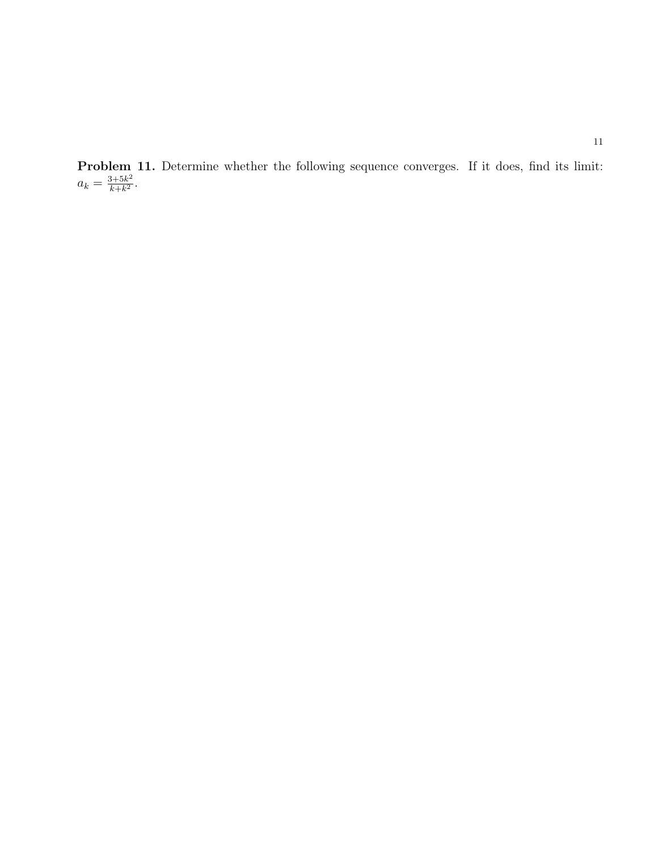Problem 11. Determine whether the following sequence converges. If it does, find its limit:  $a_k = \frac{3+5k^2}{k+k^2}$  $\frac{3+5k^2}{k+k^2}$ .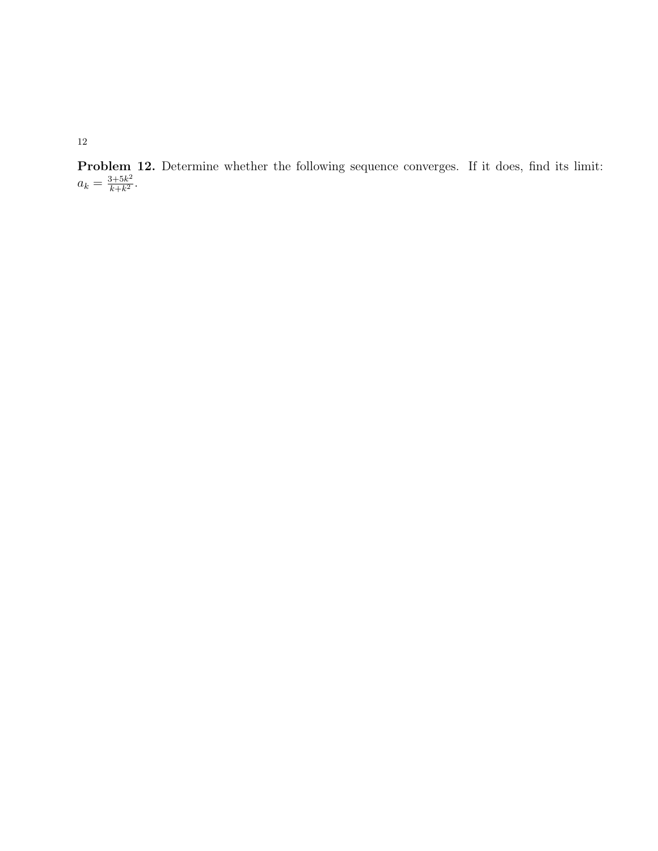Problem 12. Determine whether the following sequence converges. If it does, find its limit:  $a_k = \frac{3+5k^2}{k+k^2}$  $\frac{3+5k^2}{k+k^2}$ .

12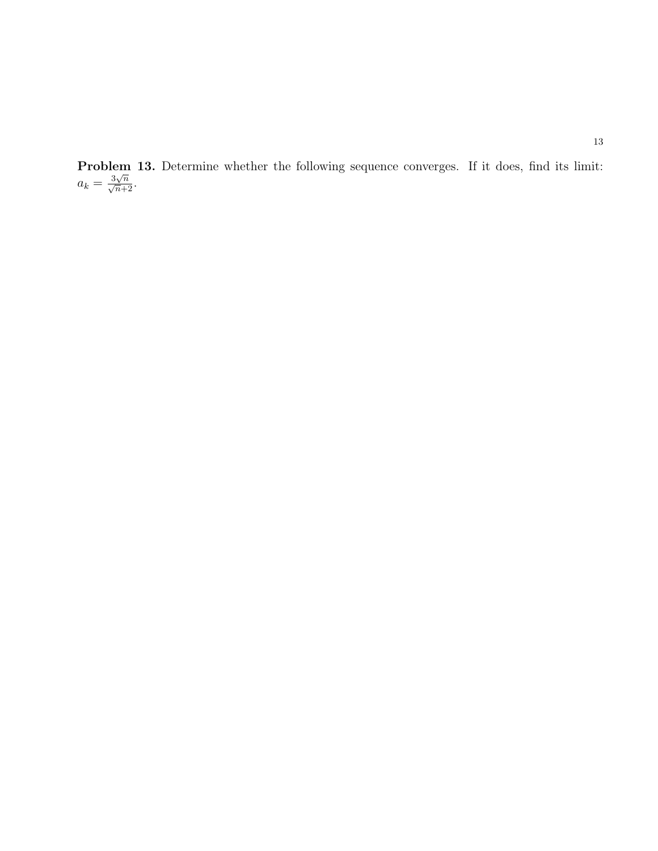Problem 13. Determine whether the following sequence converges. If it does, find its limit:  $a_k = \frac{3\sqrt{n}}{\sqrt{n+2}}.$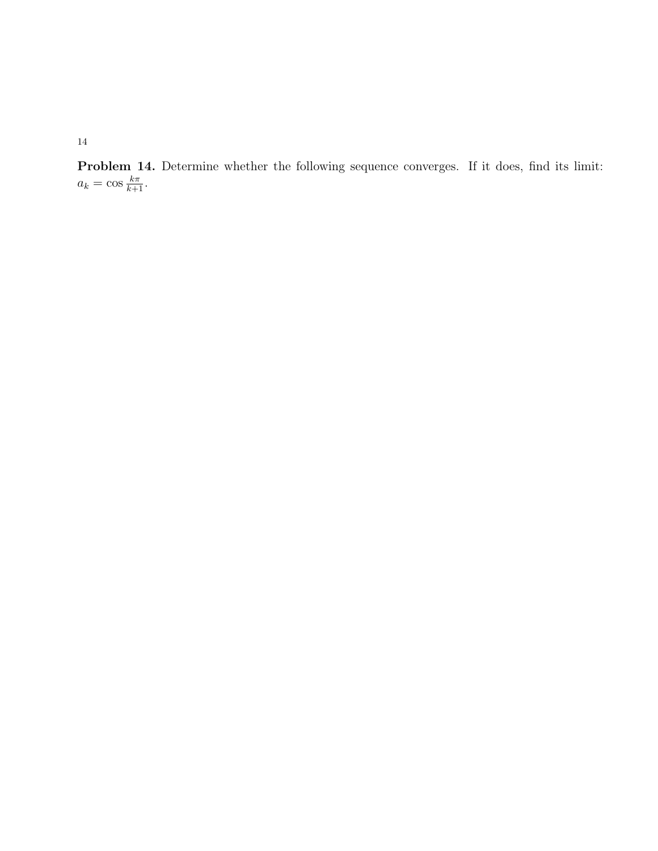Problem 14. Determine whether the following sequence converges. If it does, find its limit:  $a_k = \cos \frac{k\pi}{k+1}.$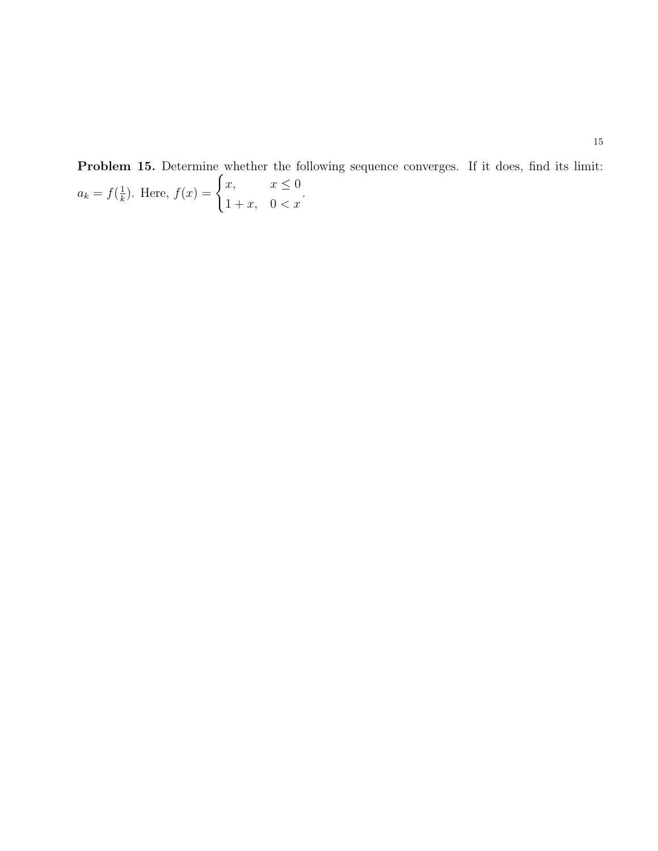Problem 15. Determine whether the following sequence converges. If it does, find its limit:  $a_k = f(\frac{1}{k})$  $(\frac{1}{k})$ . Here,  $f(x) = \begin{cases} x, & x \leq 0 \\ 1, & x \leq x \end{cases}$  $1+x$ ,  $0 < x$ .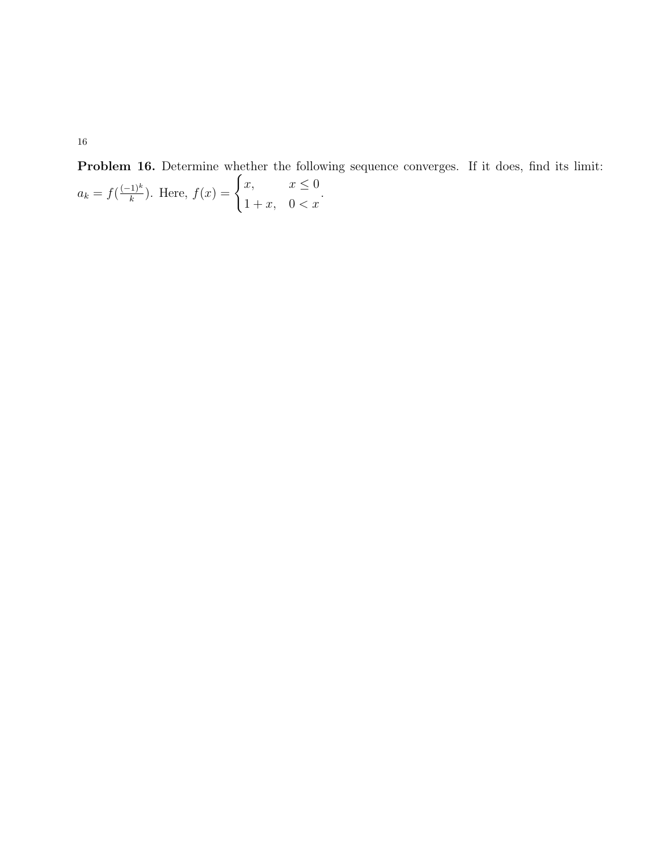Problem 16. Determine whether the following sequence converges. If it does, find its limit:  $a_k = f(\frac{(-1)^k}{k})$  $(\frac{1}{k})^k$ ). Here,  $f(x) = \begin{cases} x, & x \leq 0 \\ 1, & x > 0 \end{cases}$  $1+x$ ,  $0 < x$ .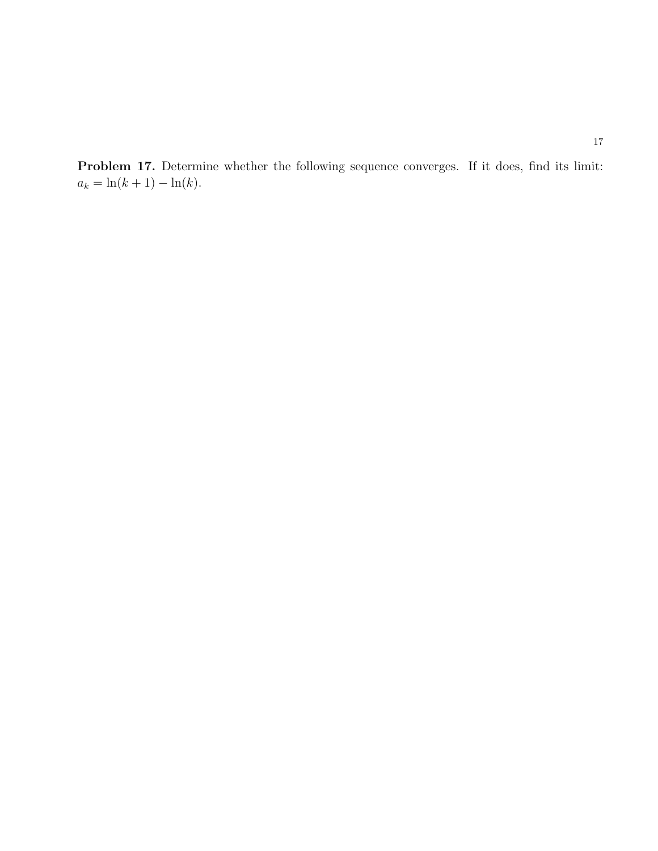Problem 17. Determine whether the following sequence converges. If it does, find its limit:  $a_k = \ln(k + 1) - \ln(k)$ .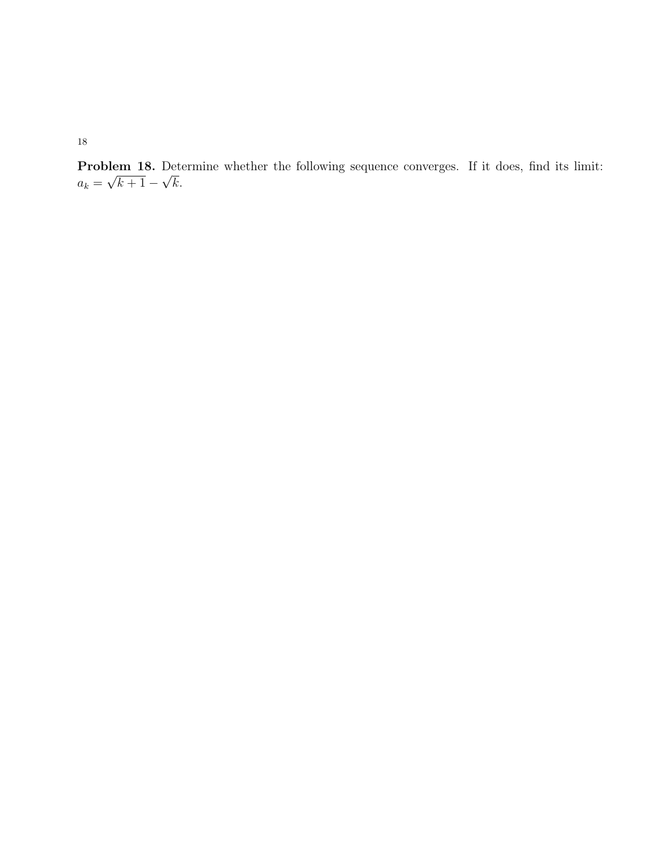Problem 18. Determine whether the following sequence converges. If it does, find its limit:  $a_k =$ µe  $k+1-$ √ k.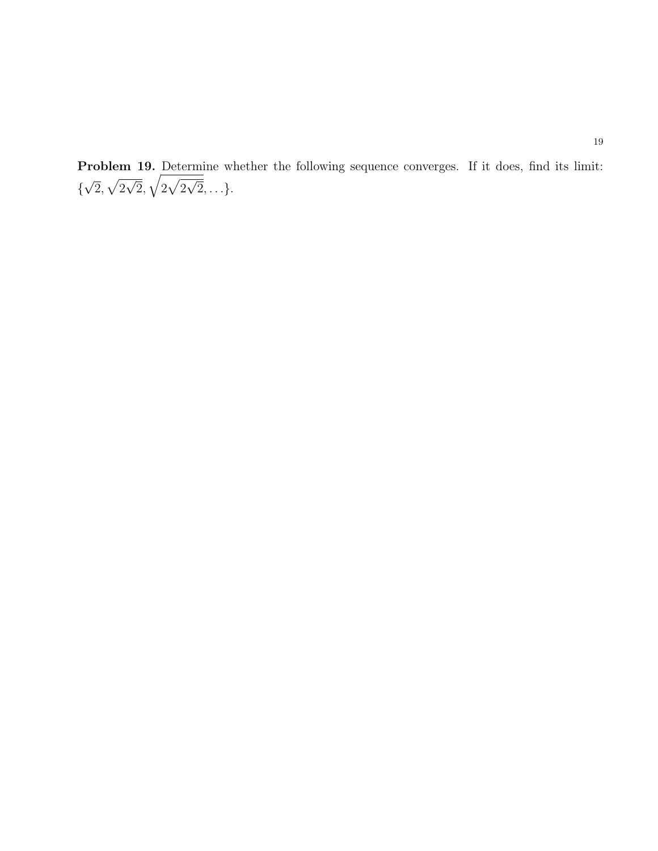Problem 19. Determine whether the following sequence converges. If it does, find its limit: { √  $\overline{2},\sqrt{2}$  $\overline{\phantom{0}}$  $\overline{\overline{2}}, \sqrt{2\sqrt{2}}$ √  $2, \ldots$  }.